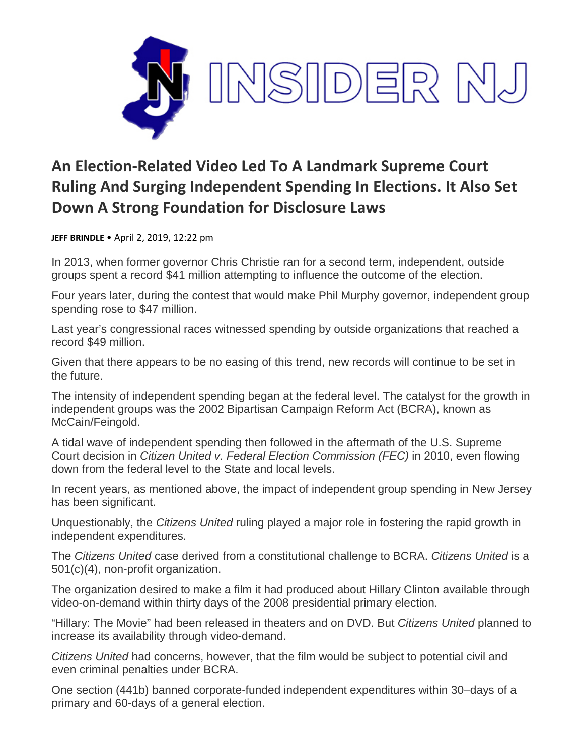

## **An Election-Related Video Led To A Landmark Supreme Court Ruling And Surging Independent Spending In Elections. It Also Set Down A Strong Foundation for Disclosure Laws**

**JEFF BRINDLE** • April 2, 2019, 12:22 pm

In 2013, when former governor Chris Christie ran for a second term, independent, outside groups spent a record \$41 million attempting to influence the outcome of the election.

Four years later, during the contest that would make Phil Murphy governor, independent group spending rose to \$47 million.

Last year's congressional races witnessed spending by outside organizations that reached a record \$49 million.

Given that there appears to be no easing of this trend, new records will continue to be set in the future.

The intensity of independent spending began at the federal level. The catalyst for the growth in independent groups was the 2002 Bipartisan Campaign Reform Act (BCRA), known as McCain/Feingold.

A tidal wave of independent spending then followed in the aftermath of the U.S. Supreme Court decision in *Citizen United v. Federal Election Commission (FEC)* in 2010, even flowing down from the federal level to the State and local levels.

In recent years, as mentioned above, the impact of independent group spending in New Jersey has been significant.

Unquestionably, the *Citizens United* ruling played a major role in fostering the rapid growth in independent expenditures.

The *Citizens United* case derived from a constitutional challenge to BCRA. *Citizens United* is a 501(c)(4), non-profit organization.

The organization desired to make a film it had produced about Hillary Clinton available through video-on-demand within thirty days of the 2008 presidential primary election.

"Hillary: The Movie" had been released in theaters and on DVD. But *Citizens United* planned to increase its availability through video-demand.

*Citizens United* had concerns, however, that the film would be subject to potential civil and even criminal penalties under BCRA.

One section (441b) banned corporate-funded independent expenditures within 30–days of a primary and 60-days of a general election.